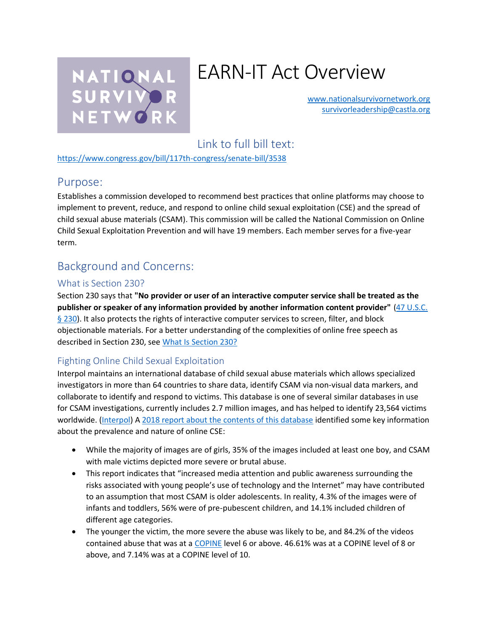

# EARN-IT Act Overview

[www.nationalsurvivornetwork.org](http://www.nationalsurvivornetwork.org/) [survivorleadership@castla.org](mailto:survivorleadership@castla.org)

# Link to full bill text:

<https://www.congress.gov/bill/117th-congress/senate-bill/3538>

#### Purpose:

Establishes a commission developed to recommend best practices that online platforms may choose to implement to prevent, reduce, and respond to online child sexual exploitation (CSE) and the spread of child sexual abuse materials (CSAM). This commission will be called the National Commission on Online Child Sexual Exploitation Prevention and will have 19 members. Each member serves for a five-year term.

## Background and Concerns:

#### What is Section 230?

Section 230 says that **"No provider or user of an interactive computer service shall be treated as the publisher or speaker of any information provided by another information content provider"** [\(47 U.S.C.](http://www.law.cornell.edu/uscode/text/47/230)  [§ 230\)](http://www.law.cornell.edu/uscode/text/47/230). It also protects the rights of interactive computer services to screen, filter, and block objectionable materials. For a better understanding of the complexities of online free speech as described in Section 230, see [What Is Section 230?](https://nationalsurvivornetwork.org/section230/)

#### Fighting Online Child Sexual Exploitation

Interpol maintains an international database of child sexual abuse materials which allows specialized investigators in more than 64 countries to share data, identify CSAM via non-visual data markers, and collaborate to identify and respond to victims. This database is one of several similar databases in use for CSAM investigations, currently includes 2.7 million images, and has helped to identify 23,564 victims worldwide. [\(Interpol\)](https://www.interpol.int/en/Crimes/Crimes-against-children/International-Child-Sexual-Exploitation-database) A [2018 report about the contents of this database](https://www.interpol.int/en/content/download/9365/file/Technical%20report%20-%20Towards%20a%20Global%20Indicator%20on%20Unidentified%20Victims%20in%20Child%20Sexual%20Exploitation%20Material.%20February%202018.pdf) identified some key information about the prevalence and nature of online CSE:

- While the majority of images are of girls, 35% of the images included at least one boy, and CSAM with male victims depicted more severe or brutal abuse.
- This report indicates that "increased media attention and public awareness surrounding the risks associated with young people's use of technology and the Internet" may have contributed to an assumption that most CSAM is older adolescents. In reality, 4.3% of the images were of infants and toddlers, 56% were of pre-pubescent children, and 14.1% included children of different age categories.
- The younger the victim, the more severe the abuse was likely to be, and 84.2% of the videos contained abuse that was at a [COPINE](https://en.wikipedia.org/wiki/COPINE_scale) level 6 or above. 46.61% was at a COPINE level of 8 or above, and 7.14% was at a COPINE level of 10.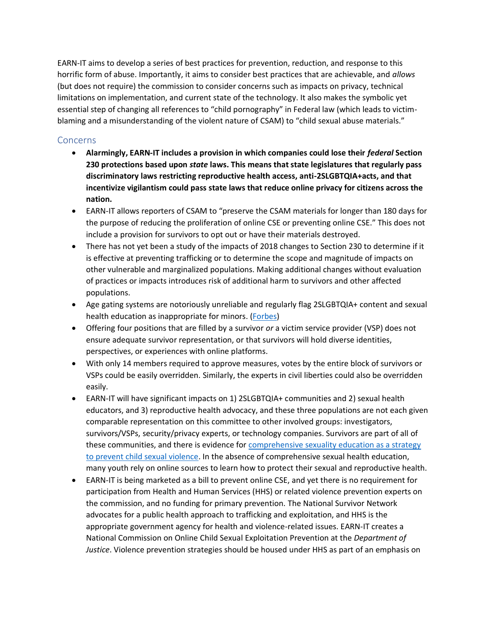EARN-IT aims to develop a series of best practices for prevention, reduction, and response to this horrific form of abuse. Importantly, it aims to consider best practices that are achievable, and *allows*  (but does not require) the commission to consider concerns such as impacts on privacy, technical limitations on implementation, and current state of the technology. It also makes the symbolic yet essential step of changing all references to "child pornography" in Federal law (which leads to victimblaming and a misunderstanding of the violent nature of CSAM) to "child sexual abuse materials."

#### Concerns

- **Alarmingly, EARN-IT includes a provision in which companies could lose their** *federal* **Section 230 protections based upon** *state* **laws. This means that state legislatures that regularly pass discriminatory laws restricting reproductive health access, anti-2SLGBTQIA+acts, and that incentivize vigilantism could pass state laws that reduce online privacy for citizens across the nation.**
- EARN-IT allows reporters of CSAM to "preserve the CSAM materials for longer than 180 days for the purpose of reducing the proliferation of online CSE or preventing online CSE." This does not include a provision for survivors to opt out or have their materials destroyed.
- There has not yet been a study of the impacts of 2018 changes to Section 230 to determine if it is effective at preventing trafficking or to determine the scope and magnitude of impacts on other vulnerable and marginalized populations. Making additional changes without evaluation of practices or impacts introduces risk of additional harm to survivors and other affected populations.
- Age gating systems are notoriously unreliable and regularly flag 2SLGBTQIA+ content and sexual health education as inappropriate for minors. [\(Forbes\)](https://www.top10vpn.com/research/parental-control-apps/)
- Offering four positions that are filled by a survivor *or* a victim service provider (VSP) does not ensure adequate survivor representation, or that survivors will hold diverse identities, perspectives, or experiences with online platforms.
- With only 14 members required to approve measures, votes by the entire block of survivors or VSPs could be easily overridden. Similarly, the experts in civil liberties could also be overridden easily.
- EARN-IT will have significant impacts on 1) 2SLGBTQIA+ communities and 2) sexual health educators, and 3) reproductive health advocacy, and these three populations are not each given comparable representation on this committee to other involved groups: investigators, survivors/VSPs, security/privacy experts, or technology companies. Survivors are part of all of these communities, and there is evidence for [comprehensive sexuality education as a strategy](https://www.nsvrc.org/resource/2500/key-finding-comprehensive-sexuality-education-primary-prevention-strategy-sexual)  [to prevent child sexual violence.](https://www.nsvrc.org/resource/2500/key-finding-comprehensive-sexuality-education-primary-prevention-strategy-sexual) In the absence of comprehensive sexual health education, many youth rely on online sources to learn how to protect their sexual and reproductive health.
- EARN-IT is being marketed as a bill to prevent online CSE, and yet there is no requirement for participation from Health and Human Services (HHS) or related violence prevention experts on the commission, and no funding for primary prevention. The National Survivor Network advocates for a public health approach to trafficking and exploitation, and HHS is the appropriate government agency for health and violence-related issues. EARN-IT creates a National Commission on Online Child Sexual Exploitation Prevention at the *Department of Justice*. Violence prevention strategies should be housed under HHS as part of an emphasis on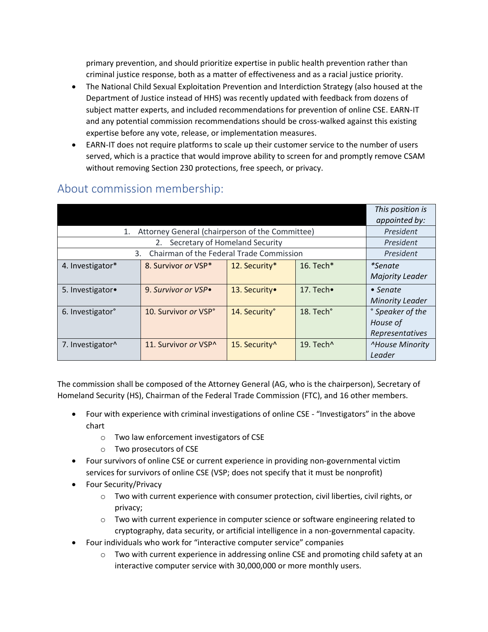primary prevention, and should prioritize expertise in public health prevention rather than criminal justice response, both as a matter of effectiveness and as a racial justice priority.

- The National Child Sexual Exploitation Prevention and Interdiction Strategy (also housed at the Department of Justice instead of HHS) was recently updated with feedback from dozens of subject matter experts, and included recommendations for prevention of online CSE. EARN-IT and any potential commission recommendations should be cross-walked against this existing expertise before any vote, release, or implementation measures.
- EARN-IT does not require platforms to scale up their customer service to the number of users served, which is a practice that would improve ability to screen for and promptly remove CSAM without removing Section 230 protections, free speech, or privacy.

|                                                    |                      |                           |                       | This position is<br>appointed by:               |
|----------------------------------------------------|----------------------|---------------------------|-----------------------|-------------------------------------------------|
| 1. Attorney General (chairperson of the Committee) |                      |                           |                       | President                                       |
| Secretary of Homeland Security<br>2.               |                      |                           |                       | President                                       |
| Chairman of the Federal Trade Commission<br>3.     |                      |                           |                       | President                                       |
| 4. Investigator*                                   | 8. Survivor or VSP*  | 12. Security*             | 16. Tech*             | <i>*Senate</i><br><b>Majority Leader</b>        |
| 5. Investigator.                                   | 9. Survivor or VSP.  | 13. Security.             | 17. Tech $\bullet$    | $\bullet$ Senate<br><b>Minority Leader</b>      |
| 6. Investigator <sup>°</sup>                       | 10. Survivor or VSP° | 14. Security°             | 18. Tech°             | ° Speaker of the<br>House of<br>Representatives |
| 7. Investigator^                                   | 11. Survivor or VSP^ | 15. Security <sup>^</sup> | 19. Tech <sup>^</sup> | <sup>^</sup> House Minority<br>Leader           |

## About commission membership:

The commission shall be composed of the Attorney General (AG, who is the chairperson), Secretary of Homeland Security (HS), Chairman of the Federal Trade Commission (FTC), and 16 other members.

- Four with experience with criminal investigations of online CSE "Investigators" in the above chart
	- o Two law enforcement investigators of CSE
	- o Two prosecutors of CSE
- Four survivors of online CSE or current experience in providing non-governmental victim services for survivors of online CSE (VSP; does not specify that it must be nonprofit)
- Four Security/Privacy
	- o Two with current experience with consumer protection, civil liberties, civil rights, or privacy;
	- $\circ$  Two with current experience in computer science or software engineering related to cryptography, data security, or artificial intelligence in a non-governmental capacity.
- Four individuals who work for "interactive computer service" companies
	- $\circ$  Two with current experience in addressing online CSE and promoting child safety at an interactive computer service with 30,000,000 or more monthly users.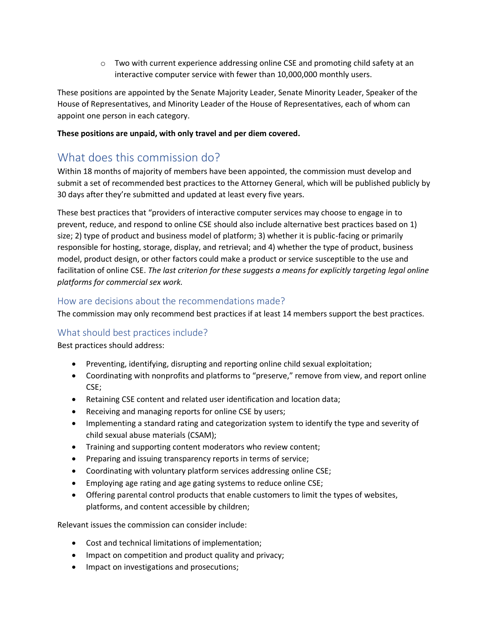$\circ$  Two with current experience addressing online CSE and promoting child safety at an interactive computer service with fewer than 10,000,000 monthly users.

These positions are appointed by the Senate Majority Leader, Senate Minority Leader, Speaker of the House of Representatives, and Minority Leader of the House of Representatives, each of whom can appoint one person in each category.

#### **These positions are unpaid, with only travel and per diem covered.**

## What does this commission do?

Within 18 months of majority of members have been appointed, the commission must develop and submit a set of recommended best practices to the Attorney General, which will be published publicly by 30 days after they're submitted and updated at least every five years.

These best practices that "providers of interactive computer services may choose to engage in to prevent, reduce, and respond to online CSE should also include alternative best practices based on 1) size; 2) type of product and business model of platform; 3) whether it is public-facing or primarily responsible for hosting, storage, display, and retrieval; and 4) whether the type of product, business model, product design, or other factors could make a product or service susceptible to the use and facilitation of online CSE. *The last criterion for these suggests a means for explicitly targeting legal online platforms for commercial sex work.*

#### How are decisions about the recommendations made?

The commission may only recommend best practices if at least 14 members support the best practices.

#### What should best practices include?

Best practices should address:

- Preventing, identifying, disrupting and reporting online child sexual exploitation;
- Coordinating with nonprofits and platforms to "preserve," remove from view, and report online CSE;
- Retaining CSE content and related user identification and location data;
- Receiving and managing reports for online CSE by users;
- Implementing a standard rating and categorization system to identify the type and severity of child sexual abuse materials (CSAM);
- Training and supporting content moderators who review content;
- Preparing and issuing transparency reports in terms of service;
- Coordinating with voluntary platform services addressing online CSE;
- Employing age rating and age gating systems to reduce online CSE;
- Offering parental control products that enable customers to limit the types of websites, platforms, and content accessible by children;

Relevant issues the commission can consider include:

- Cost and technical limitations of implementation;
- Impact on competition and product quality and privacy;
- Impact on investigations and prosecutions;